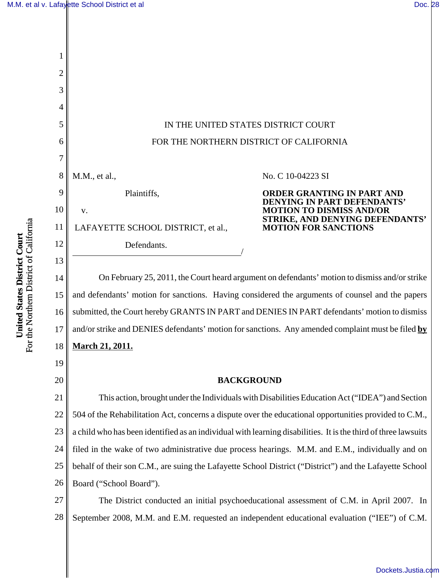[Dockets.Justia.com](http://dockets.justia.com/)



For the Northern District of California For the Northern District of California United States District Court **United States District Court**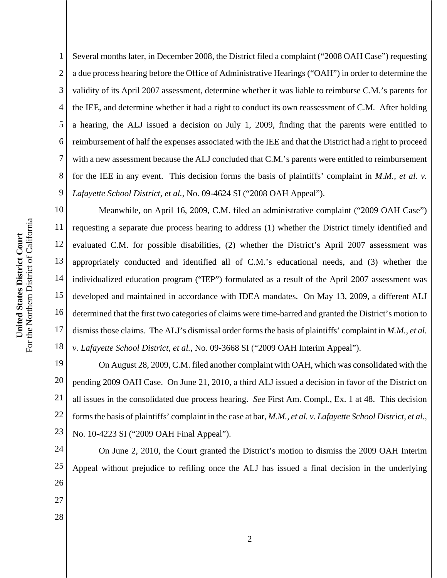1 2 3 4 5 Several months later, in December 2008, the District filed a complaint ("2008 OAH Case") requesting a due process hearing before the Office of Administrative Hearings ("OAH") in order to determine the validity of its April 2007 assessment, determine whether it was liable to reimburse C.M.'s parents for the IEE, and determine whether it had a right to conduct its own reassessment of C.M. After holding a hearing, the ALJ issued a decision on July 1, 2009, finding that the parents were entitled to reimbursement of half the expenses associated with the IEE and that the District had a right to proceed with a new assessment because the ALJ concluded that C.M.'s parents were entitled to reimbursement for the IEE in any event. This decision forms the basis of plaintiffs' complaint in *M.M., et al. v. Lafayette School District, et al.*, No. 09-4624 SI ("2008 OAH Appeal").

17 18 Meanwhile, on April 16, 2009, C.M. filed an administrative complaint ("2009 OAH Case") requesting a separate due process hearing to address (1) whether the District timely identified and evaluated C.M. for possible disabilities, (2) whether the District's April 2007 assessment was appropriately conducted and identified all of C.M.'s educational needs, and (3) whether the individualized education program ("IEP") formulated as a result of the April 2007 assessment was developed and maintained in accordance with IDEA mandates. On May 13, 2009, a different ALJ determined that the first two categories of claims were time-barred and granted the District's motion to dismiss those claims. The ALJ's dismissal order forms the basis of plaintiffs' complaint in *M.M., et al. v. Lafayette School District, et al.*, No. 09-3668 SI ("2009 OAH Interim Appeal").

19 20 21 22 23 On August 28, 2009, C.M. filed another complaint with OAH, which was consolidated with the pending 2009 OAH Case. On June 21, 2010, a third ALJ issued a decision in favor of the District on all issues in the consolidated due process hearing. *See* First Am. Compl., Ex. 1 at 48. This decision forms the basis of plaintiffs' complaint in the case at bar, *M.M., et al. v. Lafayette School District, et al.*, No. 10-4223 SI ("2009 OAH Final Appeal").

24 25 26 27 On June 2, 2010, the Court granted the District's motion to dismiss the 2009 OAH Interim Appeal without prejudice to refiling once the ALJ has issued a final decision in the underlying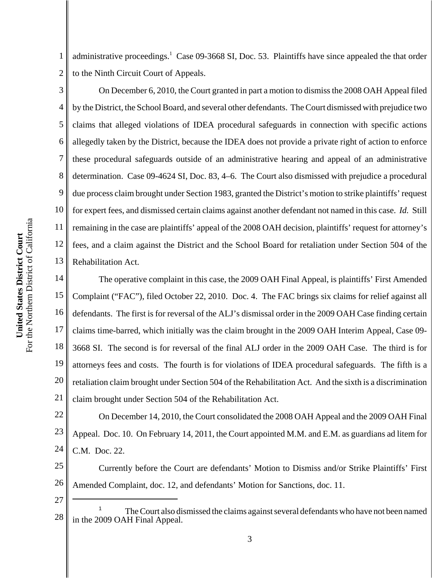1 2 administrative proceedings.<sup>1</sup> Case 09-3668 SI, Doc. 53. Plaintiffs have since appealed the that order to the Ninth Circuit Court of Appeals.

3 4 5 6 7 8 9 10 11 12 13 On December 6, 2010, the Court granted in part a motion to dismiss the 2008 OAH Appeal filed by the District, the School Board, and several other defendants. The Court dismissed with prejudice two claims that alleged violations of IDEA procedural safeguards in connection with specific actions allegedly taken by the District, because the IDEA does not provide a private right of action to enforce these procedural safeguards outside of an administrative hearing and appeal of an administrative determination. Case 09-4624 SI, Doc. 83, 4–6. The Court also dismissed with prejudice a procedural due process claim brought under Section 1983, granted the District's motion to strike plaintiffs' request for expert fees, and dismissed certain claims against another defendant not named in this case. *Id.* Still remaining in the case are plaintiffs' appeal of the 2008 OAH decision, plaintiffs' request for attorney's fees, and a claim against the District and the School Board for retaliation under Section 504 of the Rehabilitation Act.

14 15 16 17 18 19 20 21 The operative complaint in this case, the 2009 OAH Final Appeal, is plaintiffs' First Amended Complaint ("FAC"), filed October 22, 2010. Doc. 4. The FAC brings six claims for relief against all defendants. The first is for reversal of the ALJ's dismissal order in the 2009 OAH Case finding certain claims time-barred, which initially was the claim brought in the 2009 OAH Interim Appeal, Case 09- 3668 SI. The second is for reversal of the final ALJ order in the 2009 OAH Case. The third is for attorneys fees and costs. The fourth is for violations of IDEA procedural safeguards. The fifth is a retaliation claim brought under Section 504 of the Rehabilitation Act. And the sixth is a discrimination claim brought under Section 504 of the Rehabilitation Act.

22 23 24 On December 14, 2010, the Court consolidated the 2008 OAH Appeal and the 2009 OAH Final Appeal. Doc. 10. On February 14, 2011, the Court appointed M.M. and E.M. as guardians ad litem for C.M. Doc. 22.

25 26 Currently before the Court are defendants' Motion to Dismiss and/or Strike Plaintiffs' First Amended Complaint, doc. 12, and defendants' Motion for Sanctions, doc. 11.

<sup>28</sup> <sup>1</sup> The Court also dismissed the claims against several defendants who have not been named in the 2009 OAH Final Appeal.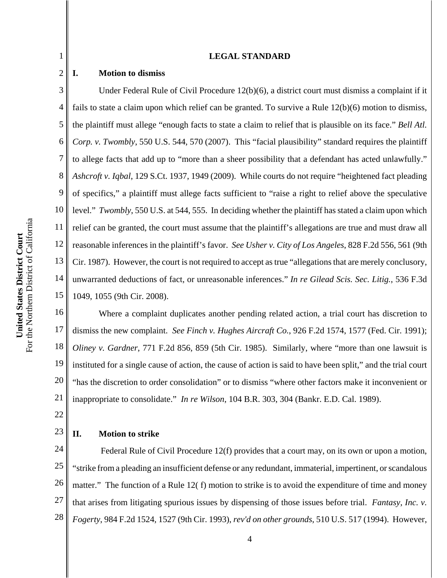#### **LEGAL STANDARD**

# **I. Motion to dismiss**

1

2

3 4 5 6 7 8 9 10 11 12 13 14 15 Under Federal Rule of Civil Procedure 12(b)(6), a district court must dismiss a complaint if it fails to state a claim upon which relief can be granted. To survive a Rule 12(b)(6) motion to dismiss, the plaintiff must allege "enough facts to state a claim to relief that is plausible on its face." *Bell Atl. Corp. v. Twombly*, 550 U.S. 544, 570 (2007). This "facial plausibility" standard requires the plaintiff to allege facts that add up to "more than a sheer possibility that a defendant has acted unlawfully." *Ashcroft v. Iqbal*, 129 S.Ct. 1937, 1949 (2009). While courts do not require "heightened fact pleading of specifics," a plaintiff must allege facts sufficient to "raise a right to relief above the speculative level." *Twombly*, 550 U.S. at 544, 555. In deciding whether the plaintiff has stated a claim upon which relief can be granted, the court must assume that the plaintiff's allegations are true and must draw all reasonable inferences in the plaintiff's favor. *See Usher v. City of Los Angeles*, 828 F.2d 556, 561 (9th Cir. 1987). However, the court is not required to accept as true "allegations that are merely conclusory, unwarranted deductions of fact, or unreasonable inferences." *In re Gilead Scis. Sec. Litig.*, 536 F.3d 1049, 1055 (9th Cir. 2008).

16 17 18 19 20 21 Where a complaint duplicates another pending related action, a trial court has discretion to dismiss the new complaint. *See Finch v. Hughes Aircraft Co.*, 926 F.2d 1574, 1577 (Fed. Cir. 1991); *Oliney v. Gardner*, 771 F.2d 856, 859 (5th Cir. 1985). Similarly, where "more than one lawsuit is instituted for a single cause of action, the cause of action is said to have been split," and the trial court "has the discretion to order consolidation" or to dismiss "where other factors make it inconvenient or inappropriate to consolidate." *In re Wilson*, 104 B.R. 303, 304 (Bankr. E.D. Cal. 1989).

22

23

# **II. Motion to strike**

24 25 26 27 28 Federal Rule of Civil Procedure 12(f) provides that a court may, on its own or upon a motion, "strike from a pleading an insufficient defense or any redundant, immaterial, impertinent, or scandalous matter." The function of a Rule 12(f) motion to strike is to avoid the expenditure of time and money that arises from litigating spurious issues by dispensing of those issues before trial. *Fantasy, Inc. v. Fogerty*, 984 F.2d 1524, 1527 (9th Cir. 1993), *rev'd on other grounds*, 510 U.S. 517 (1994). However,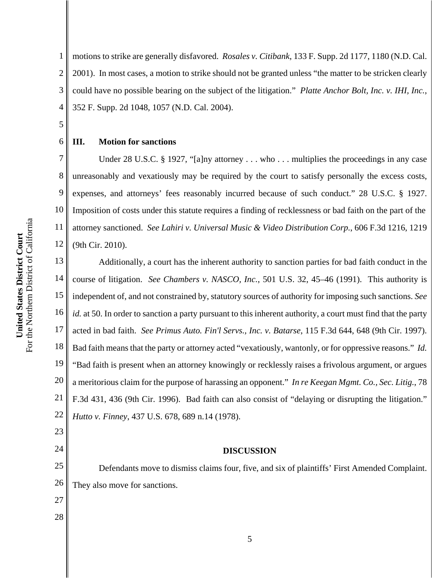1 2 3 4 motions to strike are generally disfavored. *Rosales v. Citibank*, 133 F. Supp. 2d 1177, 1180 (N.D. Cal. 2001). In most cases, a motion to strike should not be granted unless "the matter to be stricken clearly could have no possible bearing on the subject of the litigation." *Platte Anchor Bolt, Inc. v. IHI, Inc.*, 352 F. Supp. 2d 1048, 1057 (N.D. Cal. 2004).

# **III. Motion for sanctions**

5

6

7

8

9

10

11

12

Under 28 U.S.C. § 1927, "[a]ny attorney  $\dots$  who  $\dots$  multiplies the proceedings in any case unreasonably and vexatiously may be required by the court to satisfy personally the excess costs, expenses, and attorneys' fees reasonably incurred because of such conduct." 28 U.S.C. § 1927. Imposition of costs under this statute requires a finding of recklessness or bad faith on the part of the attorney sanctioned. *See Lahiri v. Universal Music & Video Distribution Corp.*, 606 F.3d 1216, 1219 (9th Cir. 2010).

13 14 15 16 17 18 19 20 21 22 Additionally, a court has the inherent authority to sanction parties for bad faith conduct in the course of litigation. *See Chambers v. NASCO, Inc.*, 501 U.S. 32, 45–46 (1991). This authority is independent of, and not constrained by, statutory sources of authority for imposing such sanctions. *See id.* at 50. In order to sanction a party pursuant to this inherent authority, a court must find that the party acted in bad faith. *See Primus Auto. Fin'l Servs., Inc. v. Batarse*, 115 F.3d 644, 648 (9th Cir. 1997). Bad faith means that the party or attorney acted "vexatiously, wantonly, or for oppressive reasons." *Id.* "Bad faith is present when an attorney knowingly or recklessly raises a frivolous argument, or argues a meritorious claim for the purpose of harassing an opponent." *In re Keegan Mgmt. Co., Sec. Litig.*, 78 F.3d 431, 436 (9th Cir. 1996). Bad faith can also consist of "delaying or disrupting the litigation." *Hutto v. Finney*, 437 U.S. 678, 689 n.14 (1978).

#### **DISCUSSION**

Defendants move to dismiss claims four, five, and six of plaintiffs' First Amended Complaint. They also move for sanctions.

27 28

23

24

25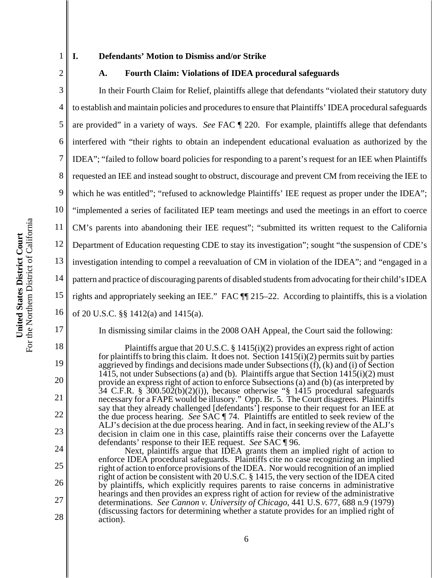1

# **I. Defendants' Motion to Dismiss and/or Strike**

#### **A. Fourth Claim: Violations of IDEA procedural safeguards**

3 4 5 6 7 8 9 10 11 12 13 14 15 16 In their Fourth Claim for Relief, plaintiffs allege that defendants "violated their statutory duty to establish and maintain policies and procedures to ensure that Plaintiffs' IDEA procedural safeguards are provided" in a variety of ways. *See* FAC ¶ 220. For example, plaintiffs allege that defendants interfered with "their rights to obtain an independent educational evaluation as authorized by the IDEA"; "failed to follow board policies for responding to a parent's request for an IEE when Plaintiffs requested an IEE and instead sought to obstruct, discourage and prevent CM from receiving the IEE to which he was entitled"; "refused to acknowledge Plaintiffs' IEE request as proper under the IDEA"; "implemented a series of facilitated IEP team meetings and used the meetings in an effort to coerce CM's parents into abandoning their IEE request"; "submitted its written request to the California Department of Education requesting CDE to stay its investigation"; sought "the suspension of CDE's investigation intending to compel a reevaluation of CM in violation of the IDEA"; and "engaged in a pattern and practice of discouraging parents of disabled students from advocating for their child's IDEA rights and appropriately seeking an IEE." FAC ¶¶ 215–22. According to plaintiffs, this is a violation of 20 U.S.C. §§ 1412(a) and 1415(a).

Plaintiffs argue that 20 U.S.C. § 1415(i)(2) provides an express right of action for plaintiffs to bring this claim. It does not. Section 1415(i)(2) permits suit by parties aggrieved by findings and decisions made under Subsections  $(f)$ ,  $(k)$  and  $(i)$  of Section 1415, not under Subsections (a) and (b). Plaintiffs argue that Section  $1415(i)(2)$  must provide an express right of action to enforce Subsections (a) and (b) (as interpreted by  $34$  C.F.R. §  $300.502(b)(2)(i)$ , because otherwise "§ 1415 procedural safeguards necessary for a FAPE would be illusory." Opp. Br. 5. The Court disagrees. Plaintiffs say that they already challenged [defendants'] response to their request for an IEE at the due process hearing. *See* SAC ¶ 74. Plaintiffs are entitled to seek review of the ALJ's decision at the due process hearing. And in fact, in seeking review of the ALJ's decision in claim one in this case, plaintiffs raise their concerns over the Lafayette defendants' response to their IEE request. *See* SAC ¶ 96.

In dismissing similar claims in the 2008 OAH Appeal, the Court said the following:

Next, plaintiffs argue that IDEA grants them an implied right of action to enforce IDEA procedural safeguards. Plaintiffs cite no case recognizing an implied right of action to enforce provisions of the IDEA. Nor would recognition of an implied right of action be consistent with 20 U.S.C. § 1415, the very section of the IDEA cited by plaintiffs, which explicitly requires parents to raise concerns in administrative hearings and then provides an express right of action for review of the administrative determinations. *See Cannon v. University of Chicago*, 441 U.S. 677, 688 n.9 (1979) (discussing factors for determining whether a statute provides for an implied right of action).

17

18

19

20

21

22

23

24

25

26

27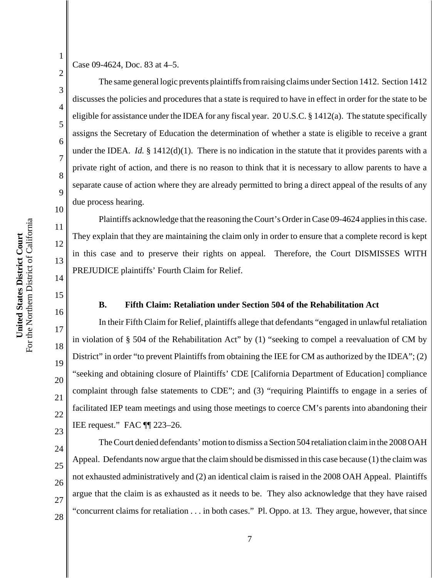Case 09-4624, Doc. 83 at 4–5.

1

2

3

4

5

6

7

8

9

10

11

12

13

14

15

16

17

18

19

20

21

22

23

24

25

26

27

28

The same general logic prevents plaintiffs from raising claims under Section 1412. Section 1412 discusses the policies and procedures that a state is required to have in effect in order for the state to be eligible for assistance under the IDEA for any fiscal year. 20 U.S.C. § 1412(a). The statute specifically assigns the Secretary of Education the determination of whether a state is eligible to receive a grant under the IDEA. *Id.*  $\S$  1412(d)(1). There is no indication in the statute that it provides parents with a private right of action, and there is no reason to think that it is necessary to allow parents to have a separate cause of action where they are already permitted to bring a direct appeal of the results of any due process hearing.

Plaintiffs acknowledge that the reasoning the Court's Order in Case 09-4624 applies in this case. They explain that they are maintaining the claim only in order to ensure that a complete record is kept in this case and to preserve their rights on appeal. Therefore, the Court DISMISSES WITH PREJUDICE plaintiffs' Fourth Claim for Relief.

# **B. Fifth Claim: Retaliation under Section 504 of the Rehabilitation Act**

In their Fifth Claim for Relief, plaintiffs allege that defendants "engaged in unlawful retaliation in violation of § 504 of the Rehabilitation Act" by (1) "seeking to compel a reevaluation of CM by District" in order "to prevent Plaintiffs from obtaining the IEE for CM as authorized by the IDEA"; (2) "seeking and obtaining closure of Plaintiffs' CDE [California Department of Education] compliance complaint through false statements to CDE"; and (3) "requiring Plaintiffs to engage in a series of facilitated IEP team meetings and using those meetings to coerce CM's parents into abandoning their IEE request." FAC ¶¶ 223–26.

The Court denied defendants' motion to dismiss a Section 504 retaliation claim in the 2008 OAH Appeal. Defendants now argue that the claim should be dismissed in this case because (1) the claim was not exhausted administratively and (2) an identical claim is raised in the 2008 OAH Appeal. Plaintiffs argue that the claim is as exhausted as it needs to be. They also acknowledge that they have raised "concurrent claims for retaliation . . . in both cases." Pl. Oppo. at 13. They argue, however, that since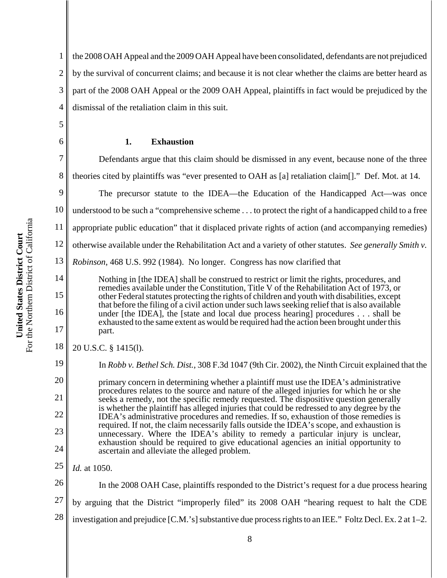6

14

15

16

17

19

20

21

22

23

24

1 2 3 4 the 2008 OAH Appeal and the 2009 OAH Appeal have been consolidated, defendants are not prejudiced by the survival of concurrent claims; and because it is not clear whether the claims are better heard as part of the 2008 OAH Appeal or the 2009 OAH Appeal, plaintiffs in fact would be prejudiced by the dismissal of the retaliation claim in this suit.

# **1. Exhaustion**

7 8 9 10 11 12 13 Defendants argue that this claim should be dismissed in any event, because none of the three theories cited by plaintiffs was "ever presented to OAH as [a] retaliation claim[]." Def. Mot. at 14. The precursor statute to the IDEA—the Education of the Handicapped Act—was once understood to be such a "comprehensive scheme . . . to protect the right of a handicapped child to a free appropriate public education" that it displaced private rights of action (and accompanying remedies) otherwise available under the Rehabilitation Act and a variety of other statutes. *See generally Smith v. Robinson*, 468 U.S. 992 (1984). No longer. Congress has now clarified that

Nothing in [the IDEA] shall be construed to restrict or limit the rights, procedures, and remedies available under the Constitution, Title V of the Rehabilitation Act of 1973, or other Federal statutes protecting the rights of children and youth with disabilities, except that before the filing of a civil action under such laws seeking relief that is also available under [the IDEA], the [state and local due process hearing] procedures . . . shall be exhausted to the same extent as would be required had the action been brought under this part.

#### 18 20 U.S.C. § 1415(l).

In *Robb v. Bethel Sch. Dist.*, 308 F.3d 1047 (9th Cir. 2002), the Ninth Circuit explained that the

primary concern in determining whether a plaintiff must use the IDEA's administrative procedures relates to the source and nature of the alleged injuries for which he or she seeks a remedy, not the specific remedy requested. The dispositive question generally is whether the plaintiff has alleged injuries that could be redressed to any degree by the IDEA's administrative procedures and remedies. If so, exhaustion of those remedies is required. If not, the claim necessarily falls outside the IDEA's scope, and exhaustion is unnecessary. Where the IDEA's ability to remedy a particular injury is unclear, exhaustion should be required to give educational agencies an initial opportunity to ascertain and alleviate the alleged problem.

25 *Id.* at 1050.

26 In the 2008 OAH Case, plaintiffs responded to the District's request for a due process hearing

27 by arguing that the District "improperly filed" its 2008 OAH "hearing request to halt the CDE

28 investigation and prejudice [C.M.'s] substantive due process rights to an IEE." Foltz Decl. Ex. 2 at 1–2.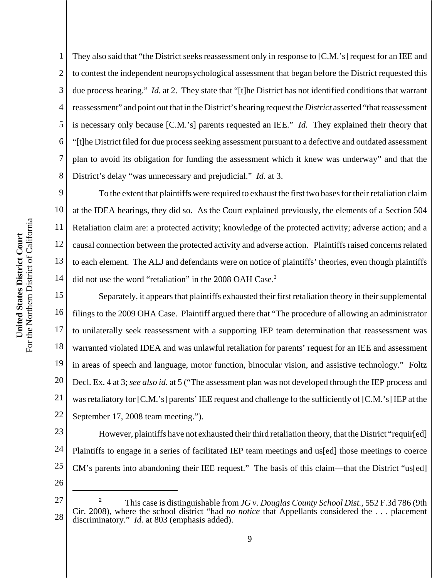1 2 3 4 5 6 7 8 They also said that "the District seeks reassessment only in response to [C.M.'s] request for an IEE and to contest the independent neuropsychological assessment that began before the District requested this due process hearing." *Id.* at 2. They state that "[t]he District has not identified conditions that warrant reassessment" and point out that in the District's hearing request the *District* asserted "that reassessment is necessary only because [C.M.'s] parents requested an IEE." *Id.* They explained their theory that "[t]he District filed for due process seeking assessment pursuant to a defective and outdated assessment plan to avoid its obligation for funding the assessment which it knew was underway" and that the District's delay "was unnecessary and prejudicial." *Id.* at 3.

9 10 11 12 13 14 To the extent that plaintiffs were required to exhaust the first two bases for their retaliation claim at the IDEA hearings, they did so. As the Court explained previously, the elements of a Section 504 Retaliation claim are: a protected activity; knowledge of the protected activity; adverse action; and a causal connection between the protected activity and adverse action. Plaintiffs raised concerns related to each element. The ALJ and defendants were on notice of plaintiffs' theories, even though plaintiffs did not use the word "retaliation" in the 2008 OAH Case.<sup>2</sup>

15 16 17 18 19 20 21 22 Separately, it appears that plaintiffs exhausted their first retaliation theory in their supplemental filings to the 2009 OHA Case. Plaintiff argued there that "The procedure of allowing an administrator to unilaterally seek reassessment with a supporting IEP team determination that reassessment was warranted violated IDEA and was unlawful retaliation for parents' request for an IEE and assessment in areas of speech and language, motor function, binocular vision, and assistive technology." Foltz Decl. Ex. 4 at 3; *see also id.* at 5 ("The assessment plan was not developed through the IEP process and was retaliatory for [C.M.'s] parents' IEE request and challenge fo the sufficiently of [C.M.'s] IEP at the September 17, 2008 team meeting.").

23 24 25 However, plaintiffs have not exhausted their third retaliation theory, that the District "requir[ed] Plaintiffs to engage in a series of facilitated IEP team meetings and us[ed] those meetings to coerce CM's parents into abandoning their IEE request." The basis of this claim—that the District "us[ed]

<sup>27</sup> 28 <sup>2</sup> This case is distinguishable from *JG v. Douglas County School Dist.*, 552 F.3d 786 (9th Cir. 2008), where the school district "had *no notice* that Appellants considered the . . . placement discriminatory." *Id.* at 803 (emphasis added).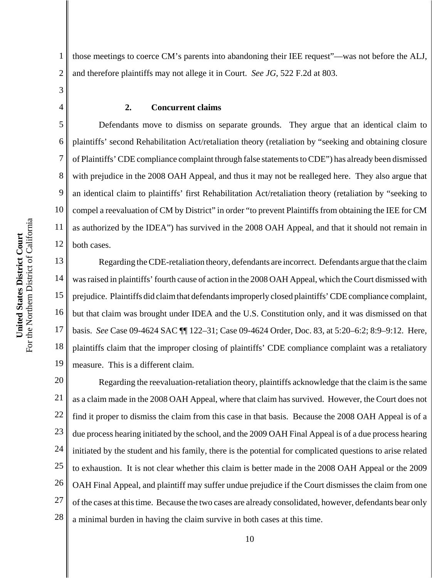For the Northern District of California For the Northern District of California United States District Court **United States District Court**

1 2 those meetings to coerce CM's parents into abandoning their IEE request"—was not before the ALJ, and therefore plaintiffs may not allege it in Court. *See JG*, 522 F.2d at 803.

3 4

5

6

7

8

9

10

11

12

#### **2. Concurrent claims**

Defendants move to dismiss on separate grounds. They argue that an identical claim to plaintiffs' second Rehabilitation Act/retaliation theory (retaliation by "seeking and obtaining closure of Plaintiffs' CDE compliance complaint through false statements to CDE") has already been dismissed with prejudice in the 2008 OAH Appeal, and thus it may not be realleged here. They also argue that an identical claim to plaintiffs' first Rehabilitation Act/retaliation theory (retaliation by "seeking to compel a reevaluation of CM by District" in order "to prevent Plaintiffs from obtaining the IEE for CM as authorized by the IDEA") has survived in the 2008 OAH Appeal, and that it should not remain in both cases.

13 14 15 16 17 18 19 Regarding the CDE-retaliation theory, defendants are incorrect.Defendants argue that the claim was raised in plaintiffs' fourth cause of action in the 2008 OAH Appeal, which the Court dismissed with prejudice. Plaintiffs did claim that defendants improperly closed plaintiffs' CDE compliance complaint, but that claim was brought under IDEA and the U.S. Constitution only, and it was dismissed on that basis. *See* Case 09-4624 SAC ¶¶ 122–31; Case 09-4624 Order, Doc. 83, at 5:20–6:2; 8:9–9:12. Here, plaintiffs claim that the improper closing of plaintiffs' CDE compliance complaint was a retaliatory measure. This is a different claim.

20 21 22 23 24 25 26 27 28 Regarding the reevaluation-retaliation theory, plaintiffs acknowledge that the claim is the same as a claim made in the 2008 OAH Appeal, where that claim has survived. However, the Court does not find it proper to dismiss the claim from this case in that basis. Because the 2008 OAH Appeal is of a due process hearing initiated by the school, and the 2009 OAH Final Appeal is of a due process hearing initiated by the student and his family, there is the potential for complicated questions to arise related to exhaustion. It is not clear whether this claim is better made in the 2008 OAH Appeal or the 2009 OAH Final Appeal, and plaintiff may suffer undue prejudice if the Court dismisses the claim from one of the cases at this time. Because the two cases are already consolidated, however, defendants bear only a minimal burden in having the claim survive in both cases at this time.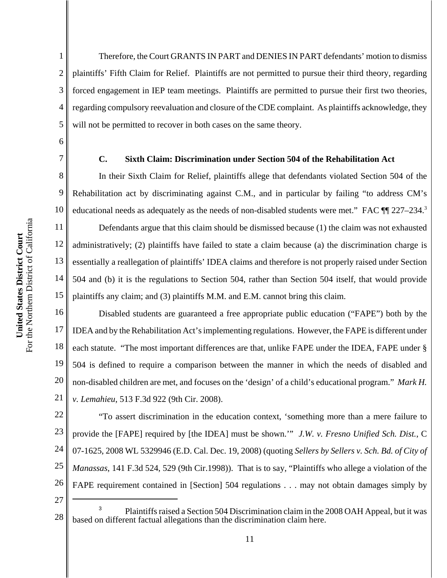2

3

4

5

6

7

8

9

10

11

12

13

14

15

Therefore, the Court GRANTS IN PART and DENIES IN PART defendants' motion to dismiss plaintiffs' Fifth Claim for Relief.Plaintiffs are not permitted to pursue their third theory, regarding forced engagement in IEP team meetings. Plaintiffs are permitted to pursue their first two theories, regarding compulsory reevaluation and closure of the CDE complaint. As plaintiffs acknowledge, they will not be permitted to recover in both cases on the same theory.

#### **C. Sixth Claim: Discrimination under Section 504 of the Rehabilitation Act**

In their Sixth Claim for Relief, plaintiffs allege that defendants violated Section 504 of the Rehabilitation act by discriminating against C.M., and in particular by failing "to address CM's educational needs as adequately as the needs of non-disabled students were met." FAC  $\P$   $227-234$ .<sup>3</sup>

Defendants argue that this claim should be dismissed because (1) the claim was not exhausted administratively; (2) plaintiffs have failed to state a claim because (a) the discrimination charge is essentially a reallegation of plaintiffs' IDEA claims and therefore is not properly raised under Section 504 and (b) it is the regulations to Section 504, rather than Section 504 itself, that would provide plaintiffs any claim; and (3) plaintiffs M.M. and E.M. cannot bring this claim.

16 17 18 19 20 21 Disabled students are guaranteed a free appropriate public education ("FAPE") both by the IDEA and by the Rehabilitation Act's implementing regulations. However, the FAPE is different under each statute. "The most important differences are that, unlike FAPE under the IDEA, FAPE under § 504 is defined to require a comparison between the manner in which the needs of disabled and non-disabled children are met, and focuses on the 'design' of a child's educational program." *Mark H. v. Lemahieu*, 513 F.3d 922 (9th Cir. 2008).

22 23 24 25 26 "To assert discrimination in the education context, 'something more than a mere failure to provide the [FAPE] required by [the IDEA] must be shown.'" *J.W. v. Fresno Unified Sch. Dist.*, C 07-1625, 2008 WL 5329946 (E.D. Cal. Dec. 19, 2008) (quoting *Sellers by Sellers v. Sch. Bd. of City of Manassas*, 141 F.3d 524, 529 (9th Cir.1998)). That is to say, "Plaintiffs who allege a violation of the FAPE requirement contained in [Section] 504 regulations . . . may not obtain damages simply by

<sup>28</sup> <sup>3</sup> Plaintiffs raised a Section 504 Discrimination claim in the 2008 OAH Appeal, but it was based on different factual allegations than the discrimination claim here.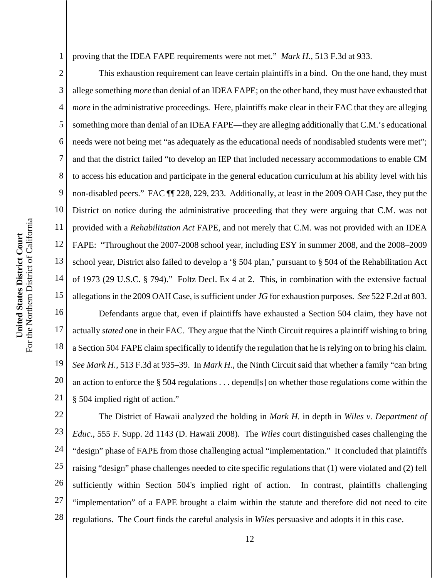1 proving that the IDEA FAPE requirements were not met." *Mark H.*, 513 F.3d at 933.

2 3 4 5 6 7 8 9 10 11 12 13 14 15 16 17 18 19 This exhaustion requirement can leave certain plaintiffs in a bind. On the one hand, they must allege something *more* than denial of an IDEA FAPE; on the other hand, they must have exhausted that *more* in the administrative proceedings. Here, plaintiffs make clear in their FAC that they are alleging something more than denial of an IDEA FAPE—they are alleging additionally that C.M.'s educational needs were not being met "as adequately as the educational needs of nondisabled students were met"; and that the district failed "to develop an IEP that included necessary accommodations to enable CM to access his education and participate in the general education curriculum at his ability level with his non-disabled peers." FAC ¶¶ 228, 229, 233. Additionally, at least in the 2009 OAH Case, they put the District on notice during the administrative proceeding that they were arguing that C.M. was not provided with a *Rehabilitation Act* FAPE, and not merely that C.M. was not provided with an IDEA FAPE: "Throughout the 2007-2008 school year, including ESY in summer 2008, and the 2008–2009 school year, District also failed to develop a '§ 504 plan,' pursuant to § 504 of the Rehabilitation Act of 1973 (29 U.S.C. § 794)." Foltz Decl. Ex 4 at 2. This, in combination with the extensive factual allegations in the 2009 OAH Case, is sufficient under *JG* for exhaustion purposes. *See* 522 F.2d at 803. Defendants argue that, even if plaintiffs have exhausted a Section 504 claim, they have not actually *stated* one in their FAC. They argue that the Ninth Circuit requires a plaintiff wishing to bring a Section 504 FAPE claim specifically to identify the regulation that he is relying on to bring his claim. *See Mark H.*, 513 F.3d at 935–39. In *Mark H.*, the Ninth Circuit said that whether a family "can bring an action to enforce the § 504 regulations . . . depend[s] on whether those regulations come within the

For the Northern District of California For the Northern District of California United States District Court **United States District Court**

§ 504 implied right of action."

26 27 28 The District of Hawaii analyzed the holding in *Mark H.* in depth in *Wiles v. Department of Educ.*, 555 F. Supp. 2d 1143 (D. Hawaii 2008). The *Wiles* court distinguished cases challenging the "design" phase of FAPE from those challenging actual "implementation." It concluded that plaintiffs raising "design" phase challenges needed to cite specific regulations that (1) were violated and (2) fell sufficiently within Section 504's implied right of action. In contrast, plaintiffs challenging "implementation" of a FAPE brought a claim within the statute and therefore did not need to cite regulations. The Court finds the careful analysis in *Wiles* persuasive and adopts it in this case.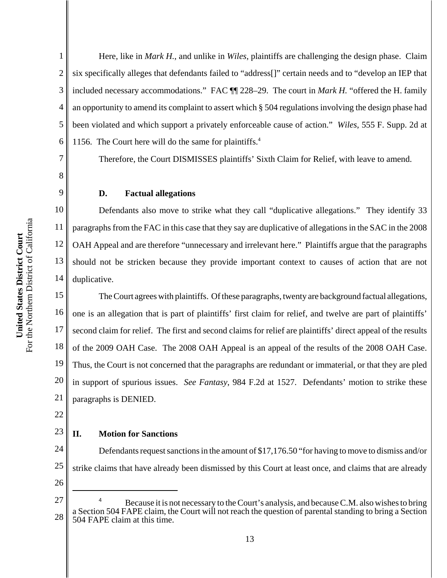2

3

4

5

6

Here, like in *Mark H.*, and unlike in *Wiles*, plaintiffs are challenging the design phase. Claim six specifically alleges that defendants failed to "address[]" certain needs and to "develop an IEP that included necessary accommodations." FAC ¶¶ 228–29. The court in *Mark H.* "offered the H. family an opportunity to amend its complaint to assert which § 504 regulations involving the design phase had been violated and which support a privately enforceable cause of action." *Wiles*, 555 F. Supp. 2d at 1156. The Court here will do the same for plaintiffs. $4$ 

Therefore, the Court DISMISSES plaintiffs' Sixth Claim for Relief, with leave to amend.

# **D. Factual allegations**

Defendants also move to strike what they call "duplicative allegations." They identify 33 paragraphs from the FAC in this case that they say are duplicative of allegations in the SAC in the 2008 OAH Appeal and are therefore "unnecessary and irrelevant here." Plaintiffs argue that the paragraphs should not be stricken because they provide important context to causes of action that are not duplicative.

17 18 19 20 21 The Court agrees with plaintiffs. Of these paragraphs, twenty are background factual allegations, one is an allegation that is part of plaintiffs' first claim for relief, and twelve are part of plaintiffs' second claim for relief. The first and second claims for relief are plaintiffs' direct appeal of the results of the 2009 OAH Case. The 2008 OAH Appeal is an appeal of the results of the 2008 OAH Case. Thus, the Court is not concerned that the paragraphs are redundant or immaterial, or that they are pled in support of spurious issues. *See Fantasy*, 984 F.2d at 1527. Defendants' motion to strike these paragraphs is DENIED.

22

23

# **II. Motion for Sanctions**

24 25 26 Defendants request sanctions in the amount of \$17,176.50 "for having to move to dismiss and/or strike claims that have already been dismissed by this Court at least once, and claims that are already

<sup>27</sup> 28 Because it is not necessary to the Court's analysis, and because C.M. also wishes to bring a Section 504 FAPE claim, the Court will not reach the question of parental standing to bring a Section 504 FAPE claim at this time.